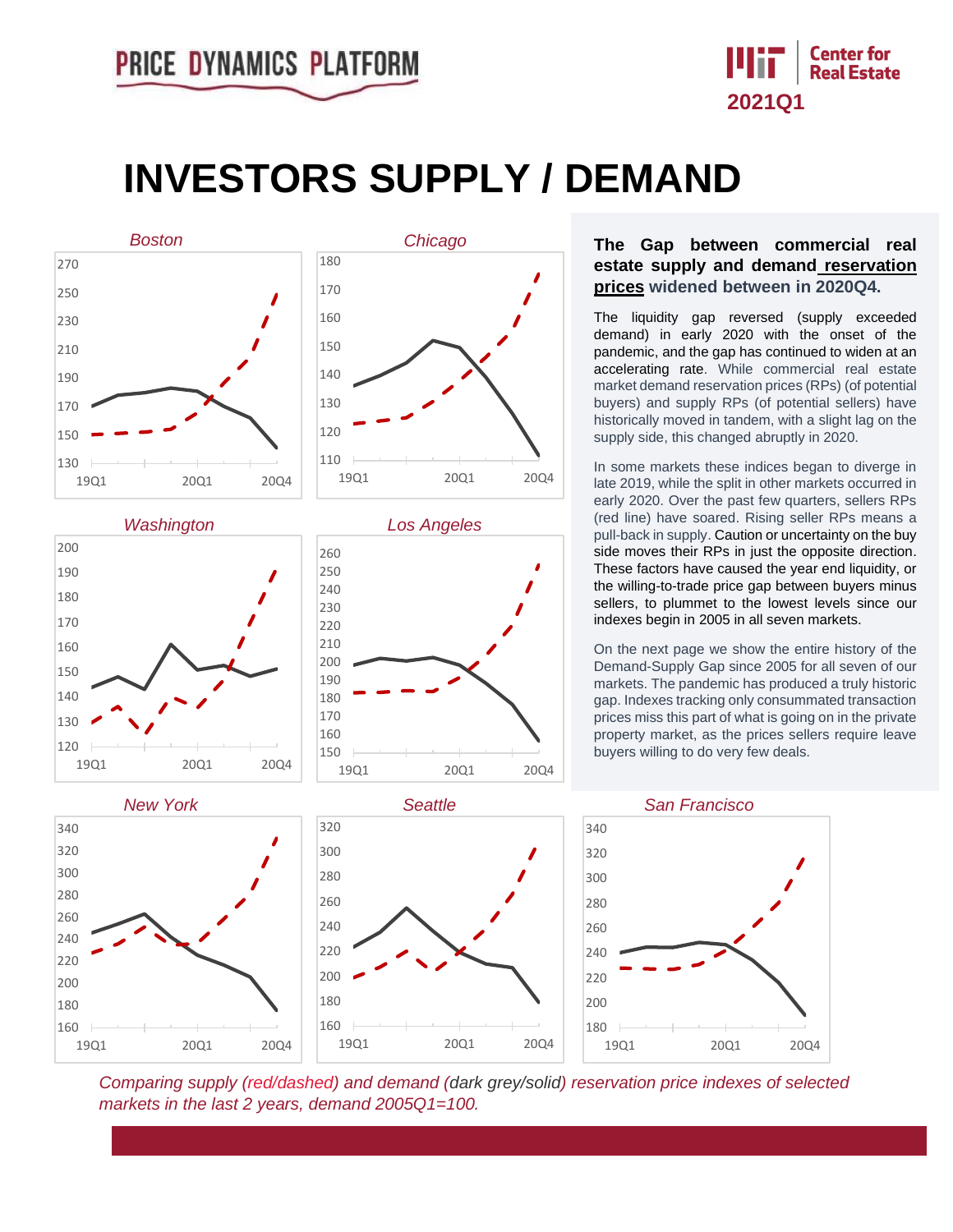

## **INVESTORS SUPPLY / DEMAND**

19Q1 20Q1 20Q4







## **The Gap between commercial real estate supply and demand reservation prices widened between in 2020Q4.**

The liquidity gap reversed (supply exceeded demand) in early 2020 with the onset of the pandemic, and the gap has continued to widen at an accelerating rate. While commercial real estate market demand reservation prices (RPs) (of potential buyers) and supply RPs (of potential sellers) have historically moved in tandem, with a slight lag on the supply side, this changed abruptly in 2020.

In some markets these indices began to diverge in late 2019, while the split in other markets occurred in early 2020. Over the past few quarters, sellers RPs (red line) have soared. Rising seller RPs means a pull-back in supply. Caution or uncertainty on the buy side moves their RPs in just the opposite direction. These factors have caused the year end liquidity, or the willing-to-trade price gap between buyers minus sellers, to plummet to the lowest levels since our indexes begin in 2005 in all seven markets.

On the next page we show the entire history of the Demand-Supply Gap since 2005 for all seven of our markets. The pandemic has produced a truly historic gap. Indexes tracking only consummated transaction prices miss this part of what is going on in the private property market, as the prices sellers require leave buyers willing to do very few deals.





*Comparing supply (red/dashed) and demand (dark grey/solid) reservation price indexes of selected markets in the last 2 years, demand 2005Q1=100.*